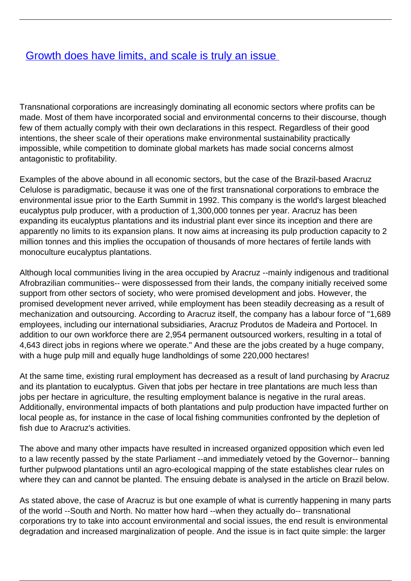## **[Growth does have limits, and scale is truly an issue](/bulletin-articles/growth-does-have-limits-and-scale-is-truly-an-issue)**

Transnational corporations are increasingly dominating all economic sectors where profits can be made. Most of them have incorporated social and environmental concerns to their discourse, though few of them actually comply with their own declarations in this respect. Regardless of their good intentions, the sheer scale of their operations make environmental sustainability practically impossible, while competition to dominate global markets has made social concerns almost antagonistic to profitability.

Examples of the above abound in all economic sectors, but the case of the Brazil-based Aracruz Celulose is paradigmatic, because it was one of the first transnational corporations to embrace the environmental issue prior to the Earth Summit in 1992. This company is the world's largest bleached eucalyptus pulp producer, with a production of 1,300,000 tonnes per year. Aracruz has been expanding its eucalyptus plantations and its industrial plant ever since its inception and there are apparently no limits to its expansion plans. It now aims at increasing its pulp production capacity to 2 million tonnes and this implies the occupation of thousands of more hectares of fertile lands with monoculture eucalyptus plantations.

Although local communities living in the area occupied by Aracruz --mainly indigenous and traditional Afrobrazilian communities-- were dispossessed from their lands, the company initially received some support from other sectors of society, who were promised development and jobs. However, the promised development never arrived, while employment has been steadily decreasing as a result of mechanization and outsourcing. According to Aracruz itself, the company has a labour force of "1,689 employees, including our international subsidiaries, Aracruz Produtos de Madeira and Portocel. In addition to our own workforce there are 2,954 permanent outsourced workers, resulting in a total of 4,643 direct jobs in regions where we operate." And these are the jobs created by a huge company, with a huge pulp mill and equally huge landholdings of some 220,000 hectares!

At the same time, existing rural employment has decreased as a result of land purchasing by Aracruz and its plantation to eucalyptus. Given that jobs per hectare in tree plantations are much less than jobs per hectare in agriculture, the resulting employment balance is negative in the rural areas. Additionally, environmental impacts of both plantations and pulp production have impacted further on local people as, for instance in the case of local fishing communities confronted by the depletion of fish due to Aracruz's activities.

The above and many other impacts have resulted in increased organized opposition which even led to a law recently passed by the state Parliament --and immediately vetoed by the Governor-- banning further pulpwood plantations until an agro-ecological mapping of the state establishes clear rules on where they can and cannot be planted. The ensuing debate is analysed in the article on Brazil below.

As stated above, the case of Aracruz is but one example of what is currently happening in many parts of the world --South and North. No matter how hard --when they actually do-- transnational corporations try to take into account environmental and social issues, the end result is environmental degradation and increased marginalization of people. And the issue is in fact quite simple: the larger